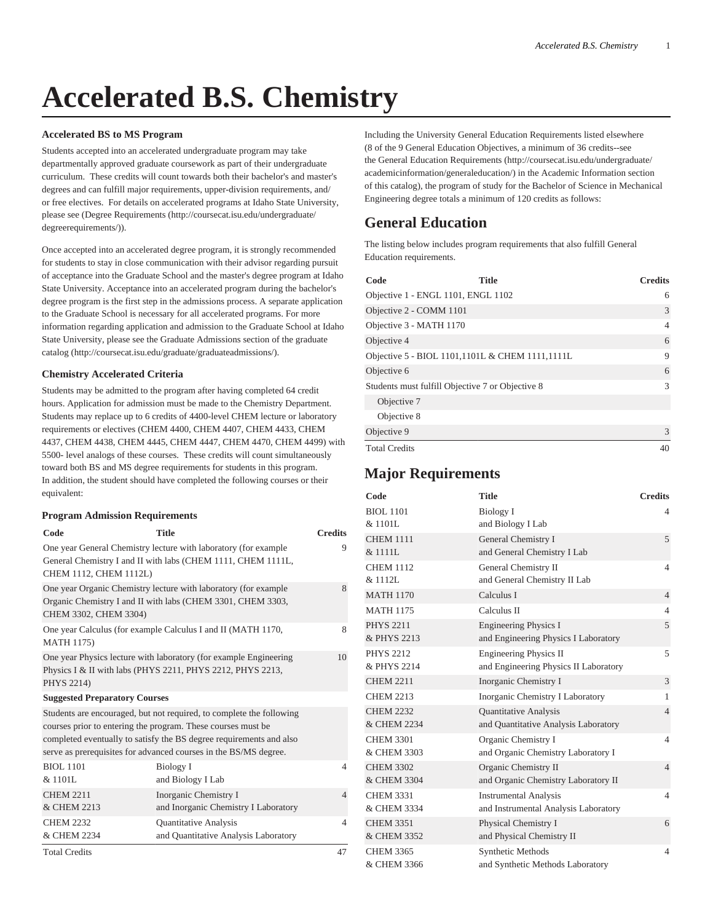# **Accelerated B.S. Chemistry**

### **Accelerated BS to MS Program**

Students accepted into an accelerated undergraduate program may take departmentally approved graduate coursework as part of their undergraduate curriculum. These credits will count towards both their bachelor's and master's degrees and can fulfill major requirements, upper-division requirements, and/ or free electives. For details on accelerated programs at Idaho State University, please see ([Degree Requirements](http://coursecat.isu.edu/undergraduate/degreerequirements/) [\(http://coursecat.isu.edu/undergraduate/](http://coursecat.isu.edu/undergraduate/degreerequirements/) [degreerequirements/](http://coursecat.isu.edu/undergraduate/degreerequirements/))).

Once accepted into an accelerated degree program, it is strongly recommended for students to stay in close communication with their advisor regarding pursuit of acceptance into the Graduate School and the master's degree program at Idaho State University. Acceptance into an accelerated program during the bachelor's degree program is the first step in the admissions process. A separate application to the Graduate School is necessary for all accelerated programs. For more information regarding application and admission to the Graduate School at Idaho State University, please see the Graduate Admissions section of the graduate catalog (<http://coursecat.isu.edu/graduate/graduateadmissions/>).

#### **Chemistry Accelerated Criteria**

Students may be admitted to the program after having completed 64 credit hours. Application for admission must be made to the Chemistry Department. Students may replace up to 6 credits of 4400-level CHEM lecture or laboratory requirements or electives (CHEM 4400, CHEM 4407, CHEM 4433, CHEM 4437, CHEM 4438, CHEM 4445, CHEM 4447, CHEM 4470, CHEM 4499) with 5500- level analogs of these courses. These credits will count simultaneously toward both BS and MS degree requirements for students in this program. In addition, the student should have completed the following courses or their equivalent:

#### **Program Admission Requirements**

| Code                                 | <b>Title</b>                                                                                                                                                                                                                                                                    | <b>Credits</b> |
|--------------------------------------|---------------------------------------------------------------------------------------------------------------------------------------------------------------------------------------------------------------------------------------------------------------------------------|----------------|
| CHEM 1112, CHEM 1112L)               | One year General Chemistry lecture with laboratory (for example<br>General Chemistry I and II with labs (CHEM 1111, CHEM 1111L,                                                                                                                                                 | 9              |
| CHEM 3302, CHEM 3304)                | One year Organic Chemistry lecture with laboratory (for example<br>Organic Chemistry I and II with labs (CHEM 3301, CHEM 3303,                                                                                                                                                  | 8              |
| <b>MATH 1175)</b>                    | One year Calculus (for example Calculus I and II (MATH 1170,                                                                                                                                                                                                                    | 8              |
| PHYS 2214)                           | One year Physics lecture with laboratory (for example Engineering)<br>Physics I & II with labs (PHYS 2211, PHYS 2212, PHYS 2213,                                                                                                                                                | 10             |
| <b>Suggested Preparatory Courses</b> |                                                                                                                                                                                                                                                                                 |                |
|                                      | Students are encouraged, but not required, to complete the following<br>courses prior to entering the program. These courses must be<br>completed eventually to satisfy the BS degree requirements and also<br>serve as prerequisites for advanced courses in the BS/MS degree. |                |
| <b>BIOL 1101</b><br>& 1101L          | Biology I<br>and Biology I Lab                                                                                                                                                                                                                                                  | $\overline{4}$ |
| <b>CHEM 2211</b><br>& CHEM 2213      | Inorganic Chemistry I<br>and Inorganic Chemistry I Laboratory                                                                                                                                                                                                                   | 4              |
| <b>CHEM 2232</b><br>& CHEM 2234      | Quantitative Analysis<br>and Quantitative Analysis Laboratory                                                                                                                                                                                                                   | $\overline{4}$ |
| <b>Total Credits</b>                 |                                                                                                                                                                                                                                                                                 | 47             |

Including the University General Education Requirements listed elsewhere (8 of the 9 General Education Objectives, a minimum of 36 credits--see the [General Education Requirements](http://coursecat.isu.edu/undergraduate/academicinformation/generaleducation/) ([http://coursecat.isu.edu/undergraduate/](http://coursecat.isu.edu/undergraduate/academicinformation/generaleducation/) [academicinformation/generaleducation/](http://coursecat.isu.edu/undergraduate/academicinformation/generaleducation/)) in the Academic Information section of this catalog), the program of study for the Bachelor of Science in Mechanical Engineering degree totals a minimum of 120 credits as follows:

## **General Education**

The listing below includes program requirements that also fulfill General Education requirements.

| Code                               | <b>Title</b>                                     | <b>Credits</b> |
|------------------------------------|--------------------------------------------------|----------------|
| Objective 1 - ENGL 1101, ENGL 1102 |                                                  | 6              |
| Objective 2 - COMM 1101            |                                                  | 3              |
| Objective 3 - MATH 1170            |                                                  | 4              |
| Objective 4                        |                                                  | 6              |
|                                    | Objective 5 - BIOL 1101,1101L & CHEM 1111,1111L  | 9              |
| Objective 6                        |                                                  | 6              |
|                                    | Students must fulfill Objective 7 or Objective 8 | 3              |
| Objective 7                        |                                                  |                |
| Objective 8                        |                                                  |                |
| Objective 9                        |                                                  | 3              |
| <b>Total Credits</b>               |                                                  | 40             |

## **Major Requirements**

| Code                            | <b>Title</b>                                                           | <b>Credits</b> |
|---------------------------------|------------------------------------------------------------------------|----------------|
| <b>BIOL 1101</b><br>& 1101L     | <b>Biology I</b><br>and Biology I Lab                                  | 4              |
| <b>CHEM 1111</b><br>& 1111L     | General Chemistry I<br>and General Chemistry I Lab                     | 5              |
| <b>CHEM 1112</b><br>& 1112L     | General Chemistry II<br>and General Chemistry II Lab                   | $\overline{4}$ |
| <b>MATH 1170</b>                | Calculus I                                                             | $\overline{4}$ |
| <b>MATH 1175</b>                | Calculus II                                                            | $\overline{4}$ |
| <b>PHYS 2211</b><br>& PHYS 2213 | <b>Engineering Physics I</b><br>and Engineering Physics I Laboratory   | 5              |
| <b>PHYS 2212</b><br>& PHYS 2214 | <b>Engineering Physics II</b><br>and Engineering Physics II Laboratory | 5              |
| <b>CHEM 2211</b>                | Inorganic Chemistry I                                                  | 3              |
| <b>CHEM 2213</b>                | Inorganic Chemistry I Laboratory                                       | 1              |
| <b>CHEM 2232</b><br>& CHEM 2234 | <b>Quantitative Analysis</b><br>and Quantitative Analysis Laboratory   | $\overline{4}$ |
| <b>CHEM 3301</b><br>& CHEM 3303 | Organic Chemistry I<br>and Organic Chemistry Laboratory I              | $\overline{4}$ |
| <b>CHEM 3302</b><br>& CHEM 3304 | Organic Chemistry II<br>and Organic Chemistry Laboratory II            | $\overline{4}$ |
| <b>CHEM 3331</b><br>& CHEM 3334 | <b>Instrumental Analysis</b><br>and Instrumental Analysis Laboratory   | $\overline{4}$ |
| <b>CHEM 3351</b><br>& CHEM 3352 | Physical Chemistry I<br>and Physical Chemistry II                      | 6              |
| <b>CHEM 3365</b><br>& CHEM 3366 | Synthetic Methods<br>and Synthetic Methods Laboratory                  | $\overline{4}$ |